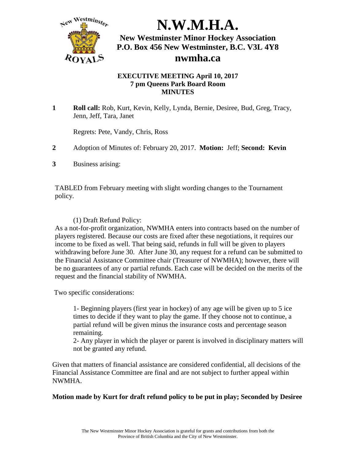

#### **EXECUTIVE MEETING April 10, 2017 7 pm Queens Park Board Room MINUTES**

**1 Roll call:** Rob, Kurt, Kevin, Kelly, Lynda, Bernie, Desiree, Bud, Greg, Tracy, Jenn, Jeff, Tara, Janet

Regrets: Pete, Vandy, Chris, Ross

- **2** Adoption of Minutes of: February 20, 2017. **Motion:** Jeff; **Second: Kevin**
- **3** Business arising:

TABLED from February meeting with slight wording changes to the Tournament policy.

### (1) Draft Refund Policy:

As a not-for-profit organization, NWMHA enters into contracts based on the number of players registered. Because our costs are fixed after these negotiations, it requires our income to be fixed as well. That being said, refunds in full will be given to players withdrawing before June 30. After June 30, any request for a refund can be submitted to the Financial Assistance Committee chair (Treasurer of NWMHA); however, there will be no guarantees of any or partial refunds. Each case will be decided on the merits of the request and the financial stability of NWMHA.

Two specific considerations:

1- Beginning players (first year in hockey) of any age will be given up to 5 ice times to decide if they want to play the game. If they choose not to continue, a partial refund will be given minus the insurance costs and percentage season remaining.

2- Any player in which the player or parent is involved in disciplinary matters will not be granted any refund.

Given that matters of financial assistance are considered confidential, all decisions of the Financial Assistance Committee are final and are not subject to further appeal within NWMHA.

### **Motion made by Kurt for draft refund policy to be put in play; Seconded by Desiree**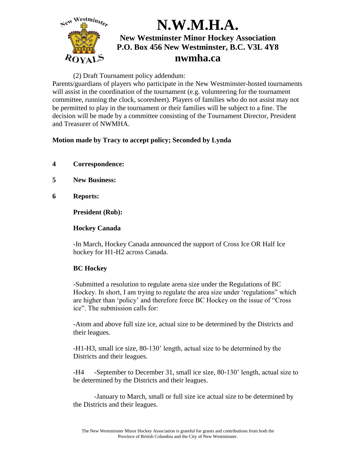

#### (2) Draft Tournament policy addendum:

Parents/guardians of players who participate in the New Westminster-hosted tournaments will assist in the coordination of the tournament (e.g. volunteering for the tournament committee, running the clock, scoresheet). Players of families who do not assist may not be permitted to play in the tournament or their families will be subject to a fine. The decision will be made by a committee consisting of the Tournament Director, President and Treasurer of NWMHA.

### **Motion made by Tracy to accept policy; Seconded by Lynda**

- **4 Correspondence:**
- **5 New Business:**
- **6 Reports:**

**President (Rob):**

### **Hockey Canada**

-In March, Hockey Canada announced the support of Cross Ice OR Half Ice hockey for H1-H2 across Canada.

## **BC Hockey**

-Submitted a resolution to regulate arena size under the Regulations of BC Hockey. In short, I am trying to regulate the area size under 'regulations" which are higher than 'policy' and therefore force BC Hockey on the issue of "Cross ice". The submission calls for:

-Atom and above full size ice, actual size to be determined by the Districts and their leagues.

-H1-H3, small ice size, 80-130' length, actual size to be determined by the Districts and their leagues.

-H4 -September to December 31, small ice size, 80-130' length, actual size to be determined by the Districts and their leagues.

-January to March, small or full size ice actual size to be determined by the Districts and their leagues.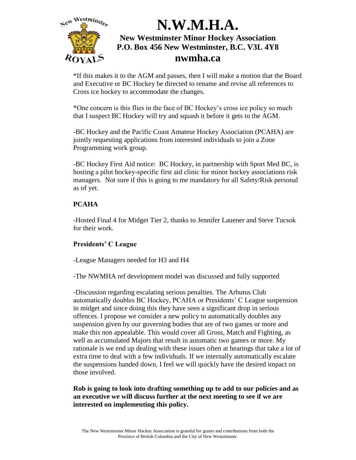

\*If this makes it to the AGM and passes, then I will make a motion that the Board and Executive or BC Hockey be directed to rename and revise all references to Cross ice hockey to accommodate the changes.

\*One concern is this flies in the face of BC Hockey's cross ice policy so much that I suspect BC Hockey will try and squash it before it gets to the AGM.

-BC Hockey and the Pacific Coast Amateur Hockey Association (PCAHA) are jointly requesting applications from interested individuals to join a Zone Programming work group.

-BC Hockey First Aid notice: BC Hockey, in partnership with Sport Med BC, is hosting a pilot hockey-specific first aid clinic for minor hockey associations risk managers. Not sure if this is going to me mandatory for all Safety/Risk personal as of yet.

### **PCAHA**

-Hosted Final 4 for Midget Tier 2, thanks to Jennifer Lauener and Steve Tucsok for their work.

### **Presidents' C League**

-League Managers needed for H3 and H4

-The NWMHA ref development model was discussed and fully supported

-Discussion regarding escalating serious penalties. The Arbutus Club automatically doubles BC Hockey, PCAHA or Presidents' C League suspension in midget and since doing this they have seen a significant drop in serious offences. I propose we consider a new policy to automatically doubles any suspension given by our governing bodies that are of two games or more and make this non appealable. This would cover all Gross, Match and Fighting, as well as accumulated Majors that result in automatic two games or more. My rationale is we end up dealing with these issues often at hearings that take a lot of extra time to deal with a few individuals. If we internally automatically escalate the suspensions handed down, I feel we will quickly have the desired impact on those involved.

**Rob is going to look into drafting something up to add to our policies and as an executive we will discuss further at the next meeting to see if we are interested on implementing this policy.**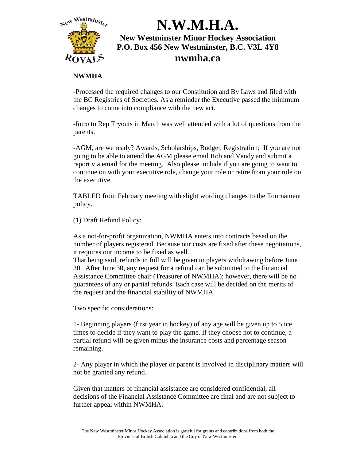

### **NWMHA**

-Processed the required changes to our Constitution and By Laws and filed with the BC Registries of Societies. As a reminder the Executive passed the minimum changes to come into compliance with the new act.

-Intro to Rep Tryouts in March was well attended with a lot of questions from the parents.

-AGM, are we ready? Awards, Scholarships, Budget, Registration; If you are not going to be able to attend the AGM please email Rob and Vandy and submit a report via email for the meeting. Also please include if you are going to want to continue on with your executive role, change your role or retire from your role on the executive.

TABLED from February meeting with slight wording changes to the Tournament policy.

(1) Draft Refund Policy:

As a not-for-profit organization, NWMHA enters into contracts based on the number of players registered. Because our costs are fixed after these negotiations, it requires our income to be fixed as well.

That being said, refunds in full will be given to players withdrawing before June 30. After June 30, any request for a refund can be submitted to the Financial Assistance Committee chair (Treasurer of NWMHA); however, there will be no guarantees of any or partial refunds. Each case will be decided on the merits of the request and the financial stability of NWMHA.

Two specific considerations:

1- Beginning players (first year in hockey) of any age will be given up to 5 ice times to decide if they want to play the game. If they choose not to continue, a partial refund will be given minus the insurance costs and percentage season remaining.

2- Any player in which the player or parent is involved in disciplinary matters will not be granted any refund.

Given that matters of financial assistance are considered confidential, all decisions of the Financial Assistance Committee are final and are not subject to further appeal within NWMHA.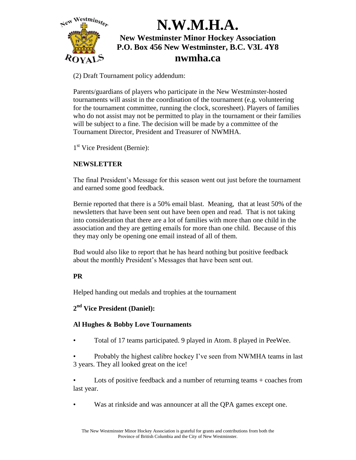

(2) Draft Tournament policy addendum:

Parents/guardians of players who participate in the New Westminster-hosted tournaments will assist in the coordination of the tournament (e.g. volunteering for the tournament committee, running the clock, scoresheet). Players of families who do not assist may not be permitted to play in the tournament or their families will be subject to a fine. The decision will be made by a committee of the Tournament Director, President and Treasurer of NWMHA.

1 st Vice President (Bernie):

## **NEWSLETTER**

The final President's Message for this season went out just before the tournament and earned some good feedback.

Bernie reported that there is a 50% email blast. Meaning, that at least 50% of the newsletters that have been sent out have been open and read. That is not taking into consideration that there are a lot of families with more than one child in the association and they are getting emails for more than one child. Because of this they may only be opening one email instead of all of them.

Bud would also like to report that he has heard nothing but positive feedback about the monthly President's Messages that have been sent out.

## **PR**

Helped handing out medals and trophies at the tournament

## **2 nd Vice President (Daniel):**

## **Al Hughes & Bobby Love Tournaments**

- Total of 17 teams participated. 9 played in Atom. 8 played in PeeWee.
- Probably the highest calibre hockey I've seen from NWMHA teams in last 3 years. They all looked great on the ice!
- Lots of positive feedback and a number of returning teams + coaches from last year.
- Was at rinkside and was announcer at all the QPA games except one.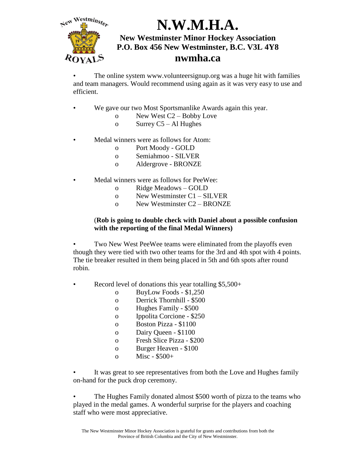

The online system www.volunteersignup.org was a huge hit with families and team managers. Would recommend using again as it was very easy to use and efficient.

- We gave our two Most Sportsmanlike Awards again this year.
	- o New West C2 Bobby Love
	- o Surrey C5 Al Hughes
	- Medal winners were as follows for Atom:
		- o Port Moody GOLD
		- o Semiahmoo SILVER
		- o Aldergrove BRONZE
- Medal winners were as follows for PeeWee:
	- o Ridge Meadows GOLD
	- o New Westminster C1 SILVER
	- o New Westminster C2 BRONZE

#### (**Rob is going to double check with Daniel about a possible confusion with the reporting of the final Medal Winners)**

Two New West PeeWee teams were eliminated from the playoffs even though they were tied with two other teams for the 3rd and 4th spot with 4 points. The tie breaker resulted in them being placed in 5th and 6th spots after round robin.

- Record level of donations this year totalling \$5,500+
	- o BuyLow Foods \$1,250
	- o Derrick Thornhill \$500
	- o Hughes Family \$500
	- o Ippolita Corcione \$250
	- o Boston Pizza \$1100
	- o Dairy Queen \$1100
	- o Fresh Slice Pizza \$200
	- o Burger Heaven \$100
	- o Misc  $$500+$

It was great to see representatives from both the Love and Hughes family on-hand for the puck drop ceremony.

• The Hughes Family donated almost \$500 worth of pizza to the teams who played in the medal games. A wonderful surprise for the players and coaching staff who were most appreciative.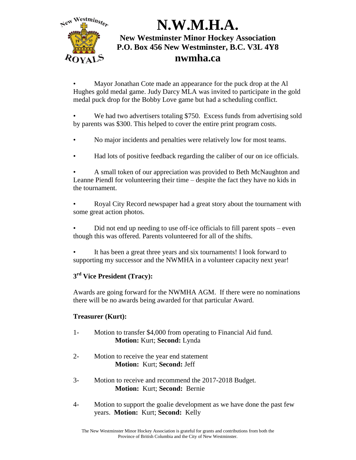

• Mayor Jonathan Cote made an appearance for the puck drop at the Al Hughes gold medal game. Judy Darcy MLA was invited to participate in the gold medal puck drop for the Bobby Love game but had a scheduling conflict.

• We had two advertisers totaling \$750. Excess funds from advertising sold by parents was \$300. This helped to cover the entire print program costs.

- No major incidents and penalties were relatively low for most teams.
- Had lots of positive feedback regarding the caliber of our on ice officials.

• A small token of our appreciation was provided to Beth McNaughton and Leanne Piendl for volunteering their time – despite the fact they have no kids in the tournament.

• Royal City Record newspaper had a great story about the tournament with some great action photos.

- Did not end up needing to use off-ice officials to fill parent spots even though this was offered. Parents volunteered for all of the shifts.
- It has been a great three years and six tournaments! I look forward to supporting my successor and the NWMHA in a volunteer capacity next year!

## **3 rd Vice President (Tracy):**

Awards are going forward for the NWMHA AGM. If there were no nominations there will be no awards being awarded for that particular Award.

## **Treasurer (Kurt):**

- 1- Motion to transfer \$4,000 from operating to Financial Aid fund. **Motion:** Kurt; **Second:** Lynda
- 2- Motion to receive the year end statement **Motion:** Kurt; **Second:** Jeff
- 3- Motion to receive and recommend the 2017-2018 Budget. **Motion:** Kurt; **Second:** Bernie
- 4- Motion to support the goalie development as we have done the past few years. **Motion:** Kurt; **Second:** Kelly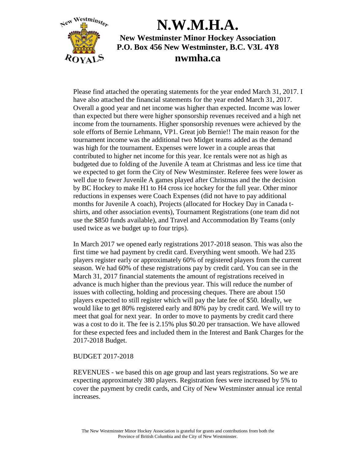

Please find attached the operating statements for the year ended March 31, 2017. I have also attached the financial statements for the year ended March 31, 2017. Overall a good year and net income was higher than expected. Income was lower than expected but there were higher sponsorship revenues received and a high net income from the tournaments. Higher sponsorship revenues were achieved by the sole efforts of Bernie Lehmann, VP1. Great job Bernie!! The main reason for the tournament income was the additional two Midget teams added as the demand was high for the tournament. Expenses were lower in a couple areas that contributed to higher net income for this year. Ice rentals were not as high as budgeted due to folding of the Juvenile A team at Christmas and less ice time that we expected to get form the City of New Westminster. Referee fees were lower as well due to fewer Juvenile A games played after Christmas and the the decision by BC Hockey to make H1 to H4 cross ice hockey for the full year. Other minor reductions in expenses were Coach Expenses (did not have to pay additional months for Juvenile A coach), Projects (allocated for Hockey Day in Canada tshirts, and other association events), Tournament Registrations (one team did not use the \$850 funds available), and Travel and Accommodation By Teams (only used twice as we budget up to four trips).

In March 2017 we opened early registrations 2017-2018 season. This was also the first time we had payment by credit card. Everything went smooth. We had 235 players register early or approximately 60% of registered players from the current season. We had 60% of these registrations pay by credit card. You can see in the March 31, 2017 financial statements the amount of registrations received in advance is much higher than the previous year. This will reduce the number of issues with collecting, holding and processing cheques. There are about 150 players expected to still register which will pay the late fee of \$50. Ideally, we would like to get 80% registered early and 80% pay by credit card. We will try to meet that goal for next year. In order to move to payments by credit card there was a cost to do it. The fee is 2.15% plus \$0.20 per transaction. We have allowed for these expected fees and included them in the Interest and Bank Charges for the 2017-2018 Budget.

#### BUDGET 2017-2018

REVENUES - we based this on age group and last years registrations. So we are expecting approximately 380 players. Registration fees were increased by 5% to cover the payment by credit cards, and City of New Westminster annual ice rental increases.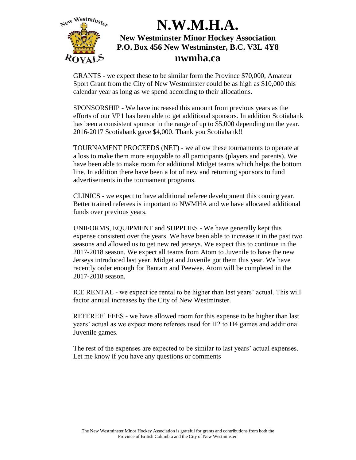

GRANTS - we expect these to be similar form the Province \$70,000, Amateur Sport Grant from the City of New Westminster could be as high as \$10,000 this calendar year as long as we spend according to their allocations.

SPONSORSHIP - We have increased this amount from previous years as the efforts of our VP1 has been able to get additional sponsors. In addition Scotiabank has been a consistent sponsor in the range of up to \$5,000 depending on the year. 2016-2017 Scotiabank gave \$4,000. Thank you Scotiabank!!

TOURNAMENT PROCEEDS (NET) - we allow these tournaments to operate at a loss to make them more enjoyable to all participants (players and parents). We have been able to make room for additional Midget teams which helps the bottom line. In addition there have been a lot of new and returning sponsors to fund advertisements in the tournament programs.

CLINICS - we expect to have additional referee development this coming year. Better trained referees is important to NWMHA and we have allocated additional funds over previous years.

UNIFORMS, EQUIPMENT and SUPPLIES - We have generally kept this expense consistent over the years. We have been able to increase it in the past two seasons and allowed us to get new red jerseys. We expect this to continue in the 2017-2018 season. We expect all teams from Atom to Juvenile to have the new Jerseys introduced last year. Midget and Juvenile got them this year. We have recently order enough for Bantam and Peewee. Atom will be completed in the 2017-2018 season.

ICE RENTAL - we expect ice rental to be higher than last years' actual. This will factor annual increases by the City of New Westminster.

REFEREE' FEES - we have allowed room for this expense to be higher than last years' actual as we expect more referees used for H2 to H4 games and additional Juvenile games.

The rest of the expenses are expected to be similar to last years' actual expenses. Let me know if you have any questions or comments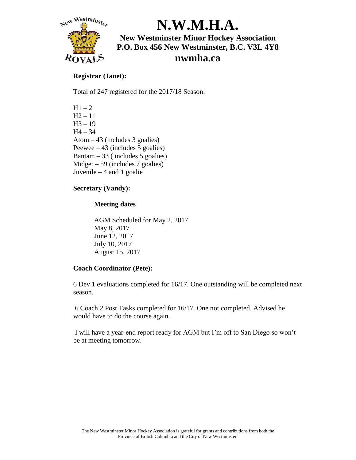

#### **Registrar (Janet):**

Total of 247 registered for the 2017/18 Season:

 $H1 - 2$  $H2 - 11$  $H3 - 19$  $H4 - 34$ Atom – 43 (includes 3 goalies) Peewee  $-43$  (includes 5 goalies) Bantam  $-33$  (includes 5 goalies)  $Midget - 59$  (includes 7 goalies) Juvenile  $-4$  and 1 goalie

### **Secretary (Vandy):**

### **Meeting dates**

AGM Scheduled for May 2, 2017 May 8, 2017 June 12, 2017 July 10, 2017 August 15, 2017

### **Coach Coordinator (Pete):**

6 Dev 1 evaluations completed for 16/17. One outstanding will be completed next season.

6 Coach 2 Post Tasks completed for 16/17. One not completed. Advised he would have to do the course again.

I will have a year-end report ready for AGM but I'm off to San Diego so won't be at meeting tomorrow.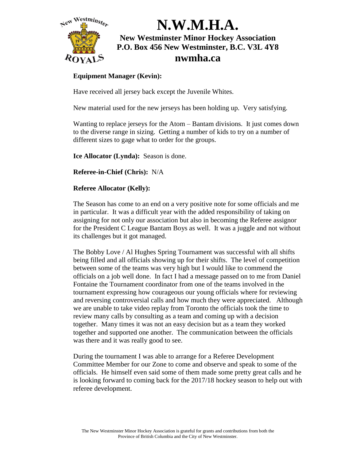

### **Equipment Manager (Kevin):**

Have received all jersey back except the Juvenile Whites.

New material used for the new jerseys has been holding up. Very satisfying.

Wanting to replace jerseys for the Atom – Bantam divisions. It just comes down to the diverse range in sizing. Getting a number of kids to try on a number of different sizes to gage what to order for the groups.

**Ice Allocator (Lynda):** Season is done.

**Referee-in-Chief (Chris):** N/A

### **Referee Allocator (Kelly):**

The Season has come to an end on a very positive note for some officials and me in particular. It was a difficult year with the added responsibility of taking on assigning for not only our association but also in becoming the Referee assignor for the President C League Bantam Boys as well. It was a juggle and not without its challenges but it got managed.

The Bobby Love / Al Hughes Spring Tournament was successful with all shifts being filled and all officials showing up for their shifts. The level of competition between some of the teams was very high but I would like to commend the officials on a job well done. In fact I had a message passed on to me from Daniel Fontaine the Tournament coordinator from one of the teams involved in the tournament expressing how courageous our young officials where for reviewing and reversing controversial calls and how much they were appreciated. Although we are unable to take video replay from Toronto the officials took the time to review many calls by consulting as a team and coming up with a decision together. Many times it was not an easy decision but as a team they worked together and supported one another. The communication between the officials was there and it was really good to see.

During the tournament I was able to arrange for a Referee Development Committee Member for our Zone to come and observe and speak to some of the officials. He himself even said some of them made some pretty great calls and he is looking forward to coming back for the 2017/18 hockey season to help out with referee development.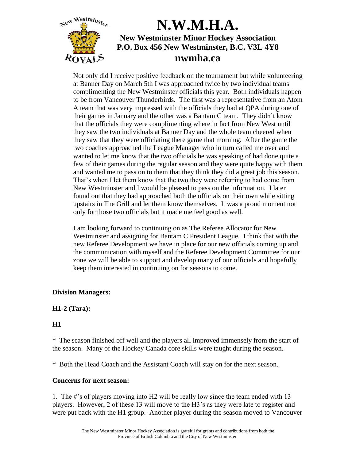

Not only did I receive positive feedback on the tournament but while volunteering at Banner Day on March 5th I was approached twice by two individual teams complimenting the New Westminster officials this year. Both individuals happen to be from Vancouver Thunderbirds. The first was a representative from an Atom A team that was very impressed with the officials they had at QPA during one of their games in January and the other was a Bantam C team. They didn't know that the officials they were complimenting where in fact from New West until they saw the two individuals at Banner Day and the whole team cheered when they saw that they were officiating there game that morning. After the game the two coaches approached the League Manager who in turn called me over and wanted to let me know that the two officials he was speaking of had done quite a few of their games during the regular season and they were quite happy with them and wanted me to pass on to them that they think they did a great job this season. That's when I let them know that the two they were referring to had come from New Westminster and I would be pleased to pass on the information. I later found out that they had approached both the officials on their own while sitting upstairs in The Grill and let them know themselves. It was a proud moment not only for those two officials but it made me feel good as well.

I am looking forward to continuing on as The Referee Allocator for New Westminster and assigning for Bantam C President League. I think that with the new Referee Development we have in place for our new officials coming up and the communication with myself and the Referee Development Committee for our zone we will be able to support and develop many of our officials and hopefully keep them interested in continuing on for seasons to come.

### **Division Managers:**

### **H1-2 (Tara):**

## **H1**

\* The season finished off well and the players all improved immensely from the start of the season. Many of the Hockey Canada core skills were taught during the season.

\* Both the Head Coach and the Assistant Coach will stay on for the next season.

### **Concerns for next season:**

1. The #'s of players moving into H2 will be really low since the team ended with 13 players. However, 2 of these 13 will move to the H3's as they were late to register and were put back with the H1 group. Another player during the season moved to Vancouver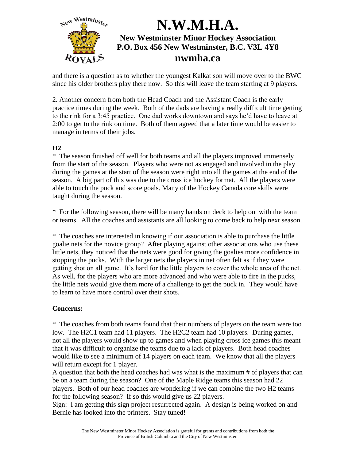

and there is a question as to whether the youngest Kalkat son will move over to the BWC since his older brothers play there now. So this will leave the team starting at 9 players.

2. Another concern from both the Head Coach and the Assistant Coach is the early practice times during the week. Both of the dads are having a really difficult time getting to the rink for a 3:45 practice. One dad works downtown and says he'd have to leave at 2:00 to get to the rink on time. Both of them agreed that a later time would be easier to manage in terms of their jobs.

### **H2**

\* The season finished off well for both teams and all the players improved immensely from the start of the season. Players who were not as engaged and involved in the play during the games at the start of the season were right into all the games at the end of the season. A big part of this was due to the cross ice hockey format. All the players were able to touch the puck and score goals. Many of the Hockey Canada core skills were taught during the season.

\* For the following season, there will be many hands on deck to help out with the team or teams. All the coaches and assistants are all looking to come back to help next season.

\* The coaches are interested in knowing if our association is able to purchase the little goalie nets for the novice group? After playing against other associations who use these little nets, they noticed that the nets were good for giving the goalies more confidence in stopping the pucks. With the larger nets the players in net often felt as if they were getting shot on all game. It's hard for the little players to cover the whole area of the net. As well, for the players who are more advanced and who were able to fire in the pucks, the little nets would give them more of a challenge to get the puck in. They would have to learn to have more control over their shots.

### **Concerns:**

\* The coaches from both teams found that their numbers of players on the team were too low. The H2C1 team had 11 players. The H2C2 team had 10 players. During games, not all the players would show up to games and when playing cross ice games this meant that it was difficult to organize the teams due to a lack of players. Both head coaches would like to see a minimum of 14 players on each team. We know that all the players will return except for 1 player.

A question that both the head coaches had was what is the maximum # of players that can be on a team during the season? One of the Maple Ridge teams this season had 22 players. Both of our head coaches are wondering if we can combine the two H2 teams for the following season? If so this would give us 22 players.

Sign: I am getting this sign project resurrected again. A design is being worked on and Bernie has looked into the printers. Stay tuned!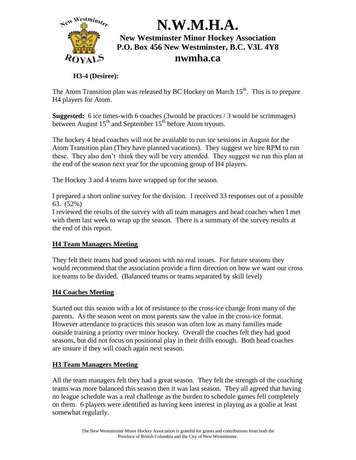

### **H3-4 (Desiree):**

The Atom Transition plan was released by BC Hockey on March  $15<sup>th</sup>$ . This is to prepare H4 players for Atom.

**Suggested:** 6 ice times-with 6 coaches (3 would be practices / 3 would be scrimmages) between August 15<sup>th</sup> and September 15<sup>th</sup> before Atom tryouts.

The hockey 4 head coaches will not be available to run ice sessions in August for the Atom Transition plan (They have planned vacations). They suggest we hire RPM to run these. They also don't think they will be very attended. They suggest we run this plan at the end of the season next year for the upcoming group of H4 players.

The Hockey 3 and 4 teams have wrapped up for the season.

I prepared a short online survey for the division. I received 33 responses out of a possible 63. (52%)

I reviewed the results of the survey with all team managers and head coaches when I met with them last week to wrap up the season. There is a summary of the survey results at the end of this report.

## **H4 Team Managers Meeting**

They felt their teams had good seasons with no real issues. For future seasons they would recommend that the association provide a firm direction on how we want our cross ice teams to be divided. (Balanced teams or teams separated by skill level)

### **H4 Coaches Meeting**

Started out this season with a lot of resistance to the cross-ice change from many of the parents. As the season went on most parents saw the value in the cross-ice format. However attendance to practices this season was often low as many families made outside training a priority over minor hockey. Overall the coaches felt they had good seasons, but did not focus on positional play in their drills enough. Both head coaches are unsure if they will coach again next season.

### **H3 Team Managers Meeting**

All the team managers felt they had a great season. They felt the strength of the coaching teams was more balanced this season then it was last season. They all agreed that having no league schedule was a real challenge as the burden to schedule games fell completely on them. 6 players were identified as having keen interest in playing as a goalie at least somewhat regularly.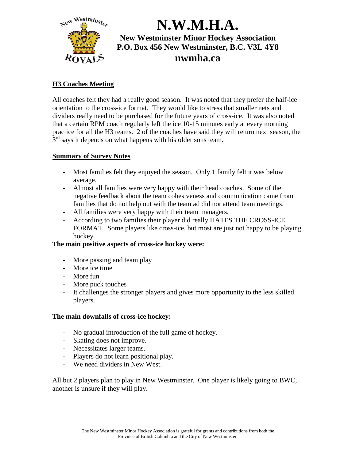

### **H3 Coaches Meeting**

All coaches felt they had a really good season. It was noted that they prefer the half-ice orientation to the cross-ice format. They would like to stress that smaller nets and dividers really need to be purchased for the future years of cross-ice. It was also noted that a certain RPM coach regularly left the ice 10-15 minutes early at every morning practice for all the H3 teams. 2 of the coaches have said they will return next season, the  $3<sup>rd</sup>$  says it depends on what happens with his older sons team.

### **Summary of Survey Notes**

- Most families felt they enjoyed the season. Only 1 family felt it was below average.
- Almost all families were very happy with their head coaches. Some of the negative feedback about the team cohesiveness and communication came from families that do not help out with the team ad did not attend team meetings.
- All families were very happy with their team managers.
- According to two families their player did really HATES THE CROSS-ICE FORMAT. Some players like cross-ice, but most are just not happy to be playing hockey.

### **The main positive aspects of cross-ice hockey were:**

- More passing and team play
- More ice time
- More fun
- More puck touches
- It challenges the stronger players and gives more opportunity to the less skilled players.

### **The main downfalls of cross-ice hockey:**

- No gradual introduction of the full game of hockey.
- Skating does not improve.
- Necessitates larger teams.
- Players do not learn positional play.
- We need dividers in New West.

All but 2 players plan to play in New Westminster. One player is likely going to BWC, another is unsure if they will play.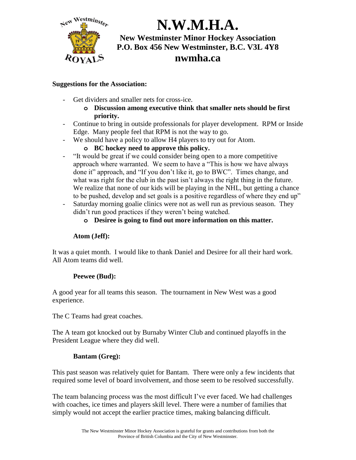

## **nwmha.ca**

### **Suggestions for the Association:**

- Get dividers and smaller nets for cross-ice.
	- **o Discussion among executive think that smaller nets should be first priority.**
- Continue to bring in outside professionals for player development. RPM or Inside Edge. Many people feel that RPM is not the way to go.
- We should have a policy to allow H4 players to try out for Atom.

## **o BC hockey need to approve this policy.**

- "It would be great if we could consider being open to a more competitive approach where warranted. We seem to have a "This is how we have always done it" approach, and "If you don't like it, go to BWC". Times change, and what was right for the club in the past isn't always the right thing in the future. We realize that none of our kids will be playing in the NHL, but getting a chance to be pushed, develop and set goals is a positive regardless of where they end up"
- Saturday morning goalie clinics were not as well run as previous season. They didn't run good practices if they weren't being watched.
	- **o Desiree is going to find out more information on this matter.**

### **Atom (Jeff):**

It was a quiet month. I would like to thank Daniel and Desiree for all their hard work. All Atom teams did well.

### **Peewee (Bud):**

A good year for all teams this season. The tournament in New West was a good experience.

The C Teams had great coaches.

The A team got knocked out by Burnaby Winter Club and continued playoffs in the President League where they did well.

## **Bantam (Greg):**

This past season was relatively quiet for Bantam. There were only a few incidents that required some level of board involvement, and those seem to be resolved successfully.

The team balancing process was the most difficult I've ever faced. We had challenges with coaches, ice times and players skill level. There were a number of families that simply would not accept the earlier practice times, making balancing difficult.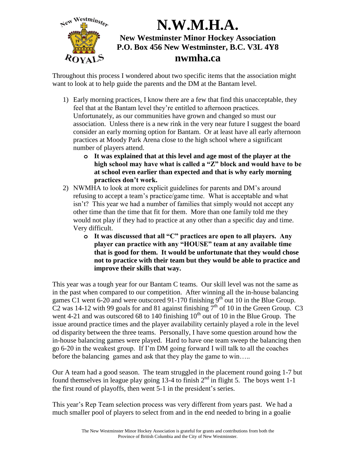

Throughout this process I wondered about two specific items that the association might want to look at to help guide the parents and the DM at the Bantam level.

- 1) Early morning practices, I know there are a few that find this unacceptable, they feel that at the Bantam level they're entitled to afternoon practices. Unfortunately, as our communities have grown and changed so must our association. Unless there is a new rink in the very near future I suggest the board consider an early morning option for Bantam. Or at least have all early afternoon practices at Moody Park Arena close to the high school where a significant number of players attend.
	- **o It was explained that at this level and age most of the player at the high school may have what is called a "Z" block and would have to be at school even earlier than expected and that is why early morning practices don't work.**
- 2) NWMHA to look at more explicit guidelines for parents and DM's around refusing to accept a team's practice/game time. What is acceptable and what isn't? This year we had a number of families that simply would not accept any other time than the time that fit for them. More than one family told me they would not play if they had to practice at any other than a specific day and time. Very difficult.
	- **o It was discussed that all "C" practices are open to all players. Any player can practice with any "HOUSE" team at any available time that is good for them. It would be unfortunate that they would chose not to practice with their team but they would be able to practice and improve their skills that way.**

This year was a tough year for our Bantam C teams. Our skill level was not the same as in the past when compared to our competition. After winning all the in-house balancing games C1 went 6-20 and were outscored 91-170 finishing  $9^{th}$  out 10 in the Blue Group. C2 was 14-12 with 99 goals for and 81 against finishing  $7<sup>th</sup>$  of 10 in the Green Group. C3 went 4-21 and was outscored 68 to 140 finishing  $10<sup>th</sup>$  out of 10 in the Blue Group. The issue around practice times and the player availability certainly played a role in the level od disparity between the three teams. Personally, I have some question around how the in-house balancing games were played. Hard to have one team sweep the balancing then go 6-20 in the weakest group. If I'm DM going forward I will talk to all the coaches before the balancing games and ask that they play the game to win.....

Our A team had a good season. The team struggled in the placement round going 1-7 but found themselves in league play going 13-4 to finish  $2<sup>nd</sup>$  in flight 5. The boys went 1-1 the first round of playoffs, then went 5-1 in the president's series.

This year's Rep Team selection process was very different from years past. We had a much smaller pool of players to select from and in the end needed to bring in a goalie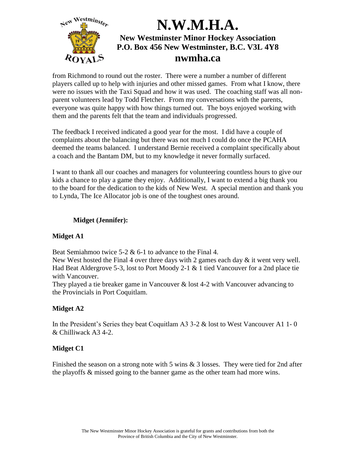

from Richmond to round out the roster. There were a number a number of different players called up to help with injuries and other missed games. From what I know, there were no issues with the Taxi Squad and how it was used. The coaching staff was all nonparent volunteers lead by Todd Fletcher. From my conversations with the parents, everyone was quite happy with how things turned out. The boys enjoyed working with them and the parents felt that the team and individuals progressed.

The feedback I received indicated a good year for the most. I did have a couple of complaints about the balancing but there was not much I could do once the PCAHA deemed the teams balanced. I understand Bernie received a complaint specifically about a coach and the Bantam DM, but to my knowledge it never formally surfaced.

I want to thank all our coaches and managers for volunteering countless hours to give our kids a chance to play a game they enjoy. Additionally, I want to extend a big thank you to the board for the dedication to the kids of New West. A special mention and thank you to Lynda, The Ice Allocator job is one of the toughest ones around.

### **Midget (Jennifer):**

### **Midget A1**

Beat Semiahmoo twice  $5-2 \& 6-1$  to advance to the Final 4.

New West hosted the Final 4 over three days with 2 games each day  $\&$  it went very well. Had Beat Aldergrove 5-3, lost to Port Moody 2-1  $& 1$  tied Vancouver for a 2nd place tie with Vancouver.

They played a tie breaker game in Vancouver & lost 4-2 with Vancouver advancing to the Provincials in Port Coquitlam.

### **Midget A2**

In the President's Series they beat Coquitlam A3 3-2 & lost to West Vancouver A1 1- 0 & Chilliwack A3 4-2.

### **Midget C1**

Finished the season on a strong note with 5 wins & 3 losses. They were tied for 2nd after the playoffs & missed going to the banner game as the other team had more wins.